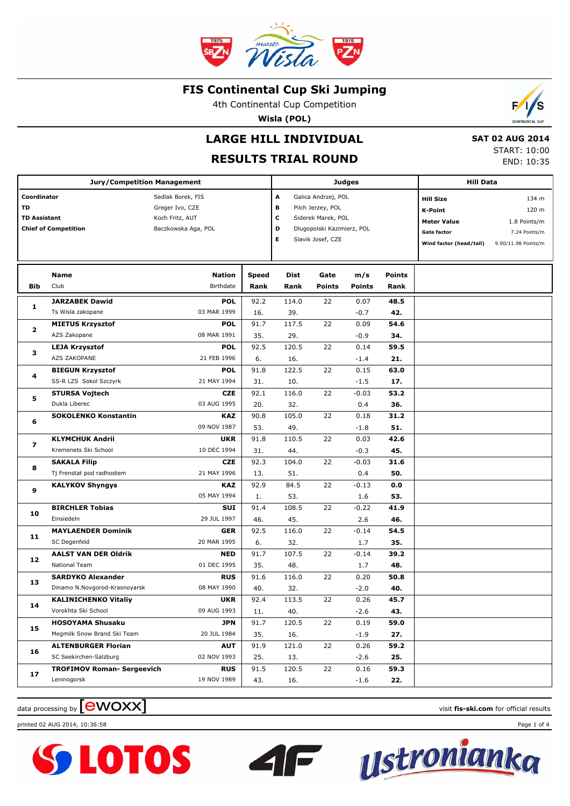

4th Continental Cup Competition

**Wisla (POL)**



### **RESULTS TRIAL ROUND**

 **SAT 02 AUG 2014** START: 10:00

END: 10:35

 $\mathcal{L}$ S

| <b>Jury/Competition Management</b>       |                                                                            |                                                                                |                       |                                                                                                                   |                | <b>Judges</b>                                                                                             |                                                                        | <b>Hill Data</b> |  |  |
|------------------------------------------|----------------------------------------------------------------------------|--------------------------------------------------------------------------------|-----------------------|-------------------------------------------------------------------------------------------------------------------|----------------|-----------------------------------------------------------------------------------------------------------|------------------------------------------------------------------------|------------------|--|--|
| Coordinator<br>TD<br><b>TD Assistant</b> | <b>Chief of Competition</b>                                                | Sedlak Borek, FIS<br>Greger Ivo, CZE<br>Koch Fritz, AUT<br>Baczkowska Aga, POL | А<br>в<br>c<br>D<br>Е | Galica Andrzej, POL<br>Pilch Jerzey, POL<br>Siderek Marek, POL<br>Dlugopolski Kazimierz, POL<br>Slavik Josef, CZE |                | <b>Hill Size</b><br><b>K-Point</b><br><b>Meter Value</b><br><b>Gate factor</b><br>Wind factor (head/tail) | 134 m<br>120 m<br>1.8 Points/m<br>7.24 Points/m<br>9.90/11.98 Points/m |                  |  |  |
| Bib                                      | Name<br>Club                                                               | Nation<br>Birthdate                                                            | <b>Speed</b><br>Rank  | Dist<br>Rank                                                                                                      | Gate<br>Points | m/s<br><b>Points</b>                                                                                      | <b>Points</b><br>Rank                                                  |                  |  |  |
| 1                                        | <b>JARZABEK Dawid</b><br>Ts Wisla zakopane                                 | <b>POL</b><br>03 MAR 1999                                                      | 92.2<br>16.           | 114.0<br>39.                                                                                                      | 22             | 0.07<br>$-0.7$                                                                                            | 48.5<br>42.                                                            |                  |  |  |
| $\mathbf{2}$                             | <b>MIETUS Krzysztof</b><br>AZS Zakopane                                    | <b>POL</b><br>08 MAR 1991                                                      | 91.7<br>35.           | 117.5<br>29.                                                                                                      | 22             | 0.09<br>$-0.9$                                                                                            | 54.6<br>34.                                                            |                  |  |  |
| з                                        | <b>LEJA Krzysztof</b><br>AZS ZAKOPANE                                      | <b>POL</b><br>21 FEB 1996                                                      | 92.5<br>6.            | 120.5<br>16.                                                                                                      | 22             | 0.14<br>$-1.4$                                                                                            | 59.5<br>21.                                                            |                  |  |  |
| 4                                        | <b>BIEGUN Krzysztof</b><br>SS-R LZS Sokol Szczyrk<br><b>STURSA Vojtech</b> | <b>POL</b><br>21 MAY 1994<br><b>CZE</b>                                        | 91.8<br>31.<br>92.1   | 122.5<br>10.<br>116.0                                                                                             | 22<br>22       | 0.15<br>$-1.5$<br>$-0.03$                                                                                 | 63.0<br>17.<br>53.2                                                    |                  |  |  |
| 5                                        | Dukla Liberec<br><b>SOKOLENKO Konstantin</b>                               | 03 AUG 1995<br><b>KAZ</b>                                                      | 20.<br>90.8           | 32.<br>105.0                                                                                                      | 22             | 0.4<br>0.18                                                                                               | 36.<br>31.2                                                            |                  |  |  |
| 6                                        | <b>KLYMCHUK Andrii</b>                                                     | 09 NOV 1987<br><b>UKR</b>                                                      | 53.<br>91.8           | 49.<br>110.5                                                                                                      | 22             | $-1.8$<br>0.03                                                                                            | 51.<br>42.6                                                            |                  |  |  |
| 7<br>8                                   | Kremenets Ski School<br><b>SAKALA Filip</b>                                | 10 DEC 1994<br><b>CZE</b>                                                      | 31.<br>92.3           | 44.<br>104.0                                                                                                      | 22             | $-0.3$<br>$-0.03$                                                                                         | 45.<br>31.6                                                            |                  |  |  |
| 9                                        | Tj Frenstat pod radhostem<br><b>KALYKOV Shyngys</b>                        | 21 MAY 1996<br><b>KAZ</b>                                                      | 13.<br>92.9           | 51.<br>84.5                                                                                                       | 22             | 0.4<br>$-0.13$                                                                                            | 50.<br>0.0                                                             |                  |  |  |
| 10                                       | <b>BIRCHLER Tobias</b>                                                     | 05 MAY 1994<br>SUI                                                             | 1.<br>91.4            | 53.<br>108.5                                                                                                      | 22             | 1.6<br>-0.22                                                                                              | 53.<br>41.9                                                            |                  |  |  |
| 11                                       | Einsiedeln<br><b>MAYLAENDER Dominik</b>                                    | 29 JUL 1997<br><b>GER</b>                                                      | 46.<br>92.5           | 45.<br>116.0                                                                                                      | 22             | 2.6<br>$-0.14$                                                                                            | 46.<br>54.5                                                            |                  |  |  |
| 12                                       | SC Degenfeld<br><b>AALST VAN DER Oldrik</b><br>National Team               | 20 MAR 1995<br><b>NED</b><br>01 DEC 1995                                       | 6.<br>91.7<br>35.     | 32.<br>107.5<br>48.                                                                                               | 22             | 1.7<br>$-0.14$<br>1.7                                                                                     | 35.<br>39.2<br>48.                                                     |                  |  |  |
| 13                                       | <b>SARDYKO Alexander</b><br>Dinamo N.Novgorod-Krasnoyarsk                  | <b>RUS</b><br>08 MAY 1990                                                      | 91.6<br>40.           | 116.0<br>32.                                                                                                      | 22             | 0.20<br>$-2.0$                                                                                            | 50.8<br>40.                                                            |                  |  |  |
| 14                                       | <b>KALINICHENKO Vitaliy</b><br>Vorokhta Ski School                         | <b>UKR</b><br>09 AUG 1993                                                      | 92.4<br>11.           | 113.5<br>40.                                                                                                      | 22             | 0.26<br>$-2.6$                                                                                            | 45.7<br>43.                                                            |                  |  |  |
| 15                                       | <b>HOSOYAMA Shusaku</b><br>Megmilk Snow Brand Ski Team                     | JPN<br>20 JUL 1984                                                             | 91.7<br>35.           | 120.5<br>16.                                                                                                      | 22             | 0.19<br>$-1.9$                                                                                            | 59.0<br>27.                                                            |                  |  |  |
| 16                                       | <b>ALTENBURGER Florian</b><br>SC Seekirchen-Salzburg                       | <b>AUT</b><br>02 NOV 1993                                                      | 91.9<br>25.           | 121.0<br>13.                                                                                                      | 22             | 0.26<br>$-2.6$                                                                                            | 59.2<br>25.                                                            |                  |  |  |
| 17                                       | <b>TROFIMOV Roman- Sergeevich</b><br>Leninogorsk                           | <b>RUS</b><br>19 NOV 1989                                                      | 91.5<br>43.           | 120.5<br>16.                                                                                                      | 22             | 0.16<br>$-1.6$                                                                                            | 59.3<br>22.                                                            |                  |  |  |

 $\mathsf{F}$ 

data processing by **CWOXX** and  $\blacksquare$  and  $\blacksquare$  and  $\blacksquare$  and  $\blacksquare$  and  $\blacksquare$  and  $\blacksquare$  and  $\blacksquare$  and  $\blacksquare$  and  $\blacksquare$  and  $\blacksquare$  and  $\blacksquare$  and  $\blacksquare$  and  $\blacksquare$  and  $\blacksquare$  and  $\blacksquare$  and  $\blacksquare$  and  $\blacksquare$  and  $\blacks$ 

printed 02 AUG 2014, 10:36:58 Page 1 of 4



<u>ustronianka</u>

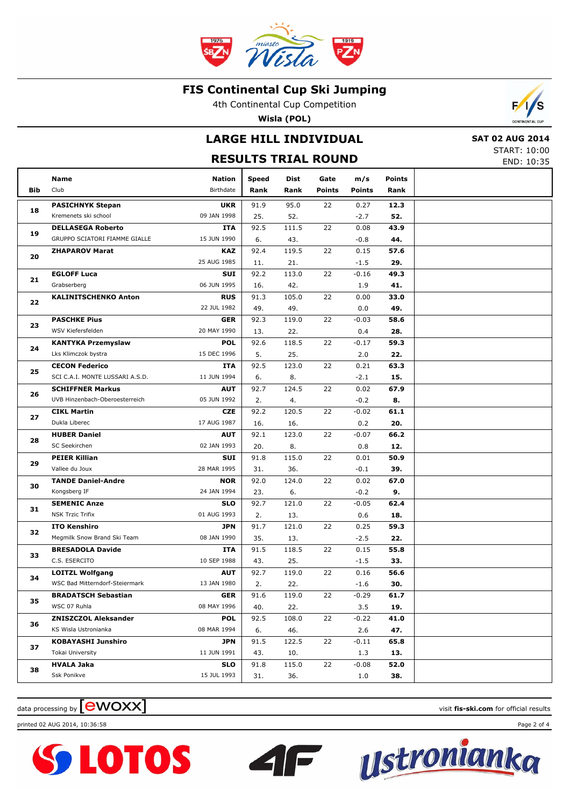

4th Continental Cup Competition

**Wisla (POL)**

# **LARGE HILL INDIVIDUAL**

### **RESULTS TRIAL ROUND**



'S

START: 10:00 END: 10:35

|     | Name                            | <b>Nation</b> | <b>Speed</b> | Dist  | Gate          | m/s           | <b>Points</b> |  |
|-----|---------------------------------|---------------|--------------|-------|---------------|---------------|---------------|--|
| Bib | Club                            | Birthdate     | Rank         | Rank  | <b>Points</b> | <b>Points</b> | Rank          |  |
|     | <b>PASICHNYK Stepan</b>         | <b>UKR</b>    | 91.9         | 95.0  | 22            | 0.27          | 12.3          |  |
| 18  | Kremenets ski school            | 09 JAN 1998   | 25.          | 52.   |               | $-2.7$        | 52.           |  |
|     | <b>DELLASEGA Roberto</b>        | <b>ITA</b>    | 92.5         | 111.5 | 22            | 0.08          | 43.9          |  |
| 19  | GRUPPO SCIATORI FIAMME GIALLE   | 15 JUN 1990   | 6.           | 43.   |               | $-0.8$        | 44.           |  |
|     | <b>ZHAPAROV Marat</b>           | <b>KAZ</b>    | 92.4         | 119.5 | 22            | 0.15          | 57.6          |  |
| 20  |                                 | 25 AUG 1985   | 11.          | 21.   |               | $-1.5$        | 29.           |  |
|     | <b>EGLOFF Luca</b>              | <b>SUI</b>    | 92.2         | 113.0 | 22            | $-0.16$       | 49.3          |  |
| 21  | Grabserberg                     | 06 JUN 1995   | 16.          | 42.   |               | 1.9           | 41.           |  |
|     | <b>KALINITSCHENKO Anton</b>     | <b>RUS</b>    | 91.3         | 105.0 | 22            | 0.00          | 33.0          |  |
| 22  |                                 | 22 JUL 1982   | 49.          | 49.   |               | 0.0           | 49.           |  |
|     | <b>PASCHKE Pius</b>             | <b>GER</b>    | 92.3         | 119.0 | 22            | $-0.03$       | 58.6          |  |
| 23  | WSV Kiefersfelden               | 20 MAY 1990   | 13.          | 22.   |               | 0.4           | 28.           |  |
|     | <b>KANTYKA Przemyslaw</b>       | <b>POL</b>    | 92.6         | 118.5 | 22            | $-0.17$       | 59.3          |  |
| 24  | Lks Klimczok bystra             | 15 DEC 1996   | 5.           | 25.   |               | 2.0           | 22.           |  |
|     | <b>CECON Federico</b>           | ITA           | 92.5         | 123.0 | 22            | 0.21          | 63.3          |  |
| 25  | SCI C.A.I. MONTE LUSSARI A.S.D. | 11 JUN 1994   | 6.           | 8.    |               | $-2.1$        | 15.           |  |
| 26  | <b>SCHIFFNER Markus</b>         | <b>AUT</b>    | 92.7         | 124.5 | 22            | 0.02          | 67.9          |  |
|     | UVB Hinzenbach-Oberoesterreich  | 05 JUN 1992   | 2.           | 4.    |               | $-0.2$        | 8.            |  |
| 27  | <b>CIKL Martin</b>              | <b>CZE</b>    | 92.2         | 120.5 | 22            | $-0.02$       | 61.1          |  |
|     | Dukla Liberec                   | 17 AUG 1987   | 16.          | 16.   |               | 0.2           | 20.           |  |
| 28  | <b>HUBER Daniel</b>             | <b>AUT</b>    | 92.1         | 123.0 | 22            | $-0.07$       | 66.2          |  |
|     | SC Seekirchen                   | 02 JAN 1993   | 20.          | 8.    |               | 0.8           | 12.           |  |
| 29  | <b>PEIER Killian</b>            | <b>SUI</b>    | 91.8         | 115.0 | 22            | 0.01          | 50.9          |  |
|     | Vallee du Joux                  | 28 MAR 1995   | 31.          | 36.   |               | $-0.1$        | 39.           |  |
| 30  | <b>TANDE Daniel-Andre</b>       | <b>NOR</b>    | 92.0         | 124.0 | 22            | 0.02          | 67.0          |  |
|     | Kongsberg IF                    | 24 JAN 1994   | 23.          | 6.    |               | $-0.2$        | 9.            |  |
| 31  | <b>SEMENIC Anze</b>             | <b>SLO</b>    | 92.7         | 121.0 | 22            | $-0.05$       | 62.4          |  |
|     | <b>NSK Trzic Trifix</b>         | 01 AUG 1993   | 2.           | 13.   |               | 0.6           | 18.           |  |
| 32  | <b>ITO Kenshiro</b>             | <b>JPN</b>    | 91.7         | 121.0 | 22            | 0.25          | 59.3          |  |
|     | Megmilk Snow Brand Ski Team     | 08 JAN 1990   | 35.          | 13.   |               | $-2.5$        | 22.           |  |
| 33  | <b>BRESADOLA Davide</b>         | <b>ITA</b>    | 91.5         | 118.5 | 22            | 0.15          | 55.8          |  |
|     | C.S. ESERCITO                   | 10 SEP 1988   | 43.          | 25.   |               | $-1.5$        | 33.           |  |
| 34  | <b>LOITZL Wolfgang</b>          | <b>AUT</b>    | 92.7         | 119.0 | 22            | 0.16          | 56.6          |  |
|     | WSC Bad Mitterndorf-Steiermark  | 13 JAN 1980   | 2.           | 22.   |               | $-1.6$        | 30.           |  |
| 35  | <b>BRADATSCH Sebastian</b>      | <b>GER</b>    | 91.6         | 119.0 | 22            | $-0.29$       | 61.7          |  |
|     | WSC 07 Ruhla                    | 08 MAY 1996   | 40.          | 22.   |               | 3.5           | 19.           |  |
| 36  | <b>ZNISZCZOL Aleksander</b>     | <b>POL</b>    | 92.5         | 108.0 | 22            | $-0.22$       | 41.0          |  |
|     | KS Wisla Ustronianka            | 08 MAR 1994   | 6.           | 46.   |               | 2.6           | 47.           |  |
| 37  | <b>KOBAYASHI Junshiro</b>       | <b>JPN</b>    | 91.5         | 122.5 | 22            | $-0.11$       | 65.8          |  |
|     | Tokai University                | 11 JUN 1991   | 43.          | 10.   |               | 1.3           | 13.           |  |
| 38  | <b>HVALA Jaka</b>               | <b>SLO</b>    | 91.8         | 115.0 | 22            | $-0.08$       | 52.0          |  |
|     | Ssk Ponikve                     | 15 JUL 1993   | 31.          | 36.   |               | 1.0           | 38.           |  |

 $\blacksquare$ 





data processing by **CWOXX** and  $\blacksquare$  and  $\blacksquare$  and  $\blacksquare$  and  $\blacksquare$  and  $\blacksquare$  and  $\blacksquare$  and  $\blacksquare$  and  $\blacksquare$  and  $\blacksquare$  and  $\blacksquare$  and  $\blacksquare$  and  $\blacksquare$  and  $\blacksquare$  and  $\blacksquare$  and  $\blacksquare$  and  $\blacksquare$  and  $\blacksquare$  and  $\blacks$ 

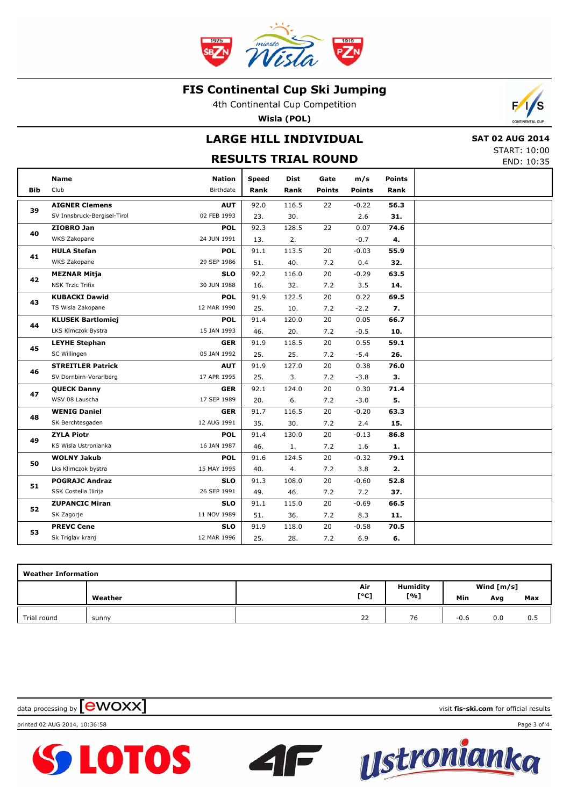

4th Continental Cup Competition

**Wisla (POL)**

# **LARGE HILL INDIVIDUAL**

### **RESULTS TRIAL ROUND**

 **SAT 02 AUG 2014** START: 10:00 END: 10:35

 $\overline{\phantom{a}}$ 'S

|            | <b>Name</b>                 | <b>Nation</b>    | <b>Speed</b> | <b>Dist</b> | Gate          | m/s           | <b>Points</b> |  |
|------------|-----------------------------|------------------|--------------|-------------|---------------|---------------|---------------|--|
| <b>Bib</b> | Club                        | <b>Birthdate</b> | Rank         | Rank        | <b>Points</b> | <b>Points</b> | Rank          |  |
|            | <b>AIGNER Clemens</b>       | <b>AUT</b>       | 92.0         | 116.5       | 22            | $-0.22$       | 56.3          |  |
| 39         | SV Innsbruck-Bergisel-Tirol | 02 FEB 1993      | 23.          | 30.         |               | 2.6           | 31.           |  |
| 40         | ZIOBRO Jan                  | <b>POL</b>       | 92.3         | 128.5       | 22            | 0.07          | 74.6          |  |
|            | WKS Zakopane                | 24 JUN 1991      | 13.          | 2.          |               | $-0.7$        | 4.            |  |
| 41         | <b>HULA Stefan</b>          | <b>POL</b>       | 91.1         | 113.5       | 20            | $-0.03$       | 55.9          |  |
|            | WKS Zakopane                | 29 SEP 1986      | 51.          | 40.         | 7.2           | 0.4           | 32.           |  |
| 42         | <b>MEZNAR Mitja</b>         | <b>SLO</b>       | 92.2         | 116.0       | 20            | $-0.29$       | 63.5          |  |
|            | <b>NSK Trzic Trifix</b>     | 30 JUN 1988      | 16.          | 32.         | 7.2           | 3.5           | 14.           |  |
| 43         | <b>KUBACKI Dawid</b>        | <b>POL</b>       | 91.9         | 122.5       | 20            | 0.22          | 69.5          |  |
|            | TS Wisla Zakopane           | 12 MAR 1990      | 25.          | 10.         | 7.2           | $-2.2$        | 7.            |  |
| 44         | <b>KLUSEK Bartlomiej</b>    | <b>POL</b>       | 91.4         | 120.0       | 20            | 0.05          | 66.7          |  |
|            | LKS Klmczok Bystra          | 15 JAN 1993      | 46.          | 20.         | 7.2           | $-0.5$        | 10.           |  |
| 45         | <b>LEYHE Stephan</b>        | <b>GER</b>       | 91.9         | 118.5       | 20            | 0.55          | 59.1          |  |
|            | SC Willingen                | 05 JAN 1992      | 25.          | 25.         | 7.2           | $-5.4$        | 26.           |  |
| 46         | <b>STREITLER Patrick</b>    | <b>AUT</b>       | 91.9         | 127.0       | 20            | 0.38          | 76.0          |  |
|            | SV Dornbirn-Vorarlberg      | 17 APR 1995      | 25.          | 3.          | 7.2           | $-3.8$        | 3.            |  |
| 47         | <b>QUECK Danny</b>          | <b>GER</b>       | 92.1         | 124.0       | 20            | 0.30          | 71.4          |  |
|            | WSV 08 Lauscha              | 17 SEP 1989      | 20.          | 6.          | 7.2           | $-3.0$        | 5.            |  |
| 48         | <b>WENIG Daniel</b>         | <b>GER</b>       | 91.7         | 116.5       | 20            | $-0.20$       | 63.3          |  |
|            | SK Berchtesgaden            | 12 AUG 1991      | 35.          | 30.         | 7.2           | 2.4           | 15.           |  |
| 49         | <b>ZYLA Piotr</b>           | <b>POL</b>       | 91.4         | 130.0       | 20            | $-0.13$       | 86.8          |  |
|            | KS Wisla Ustronianka        | 16 JAN 1987      | 46.          | 1.          | 7.2           | 1.6           | 1.            |  |
| 50         | <b>WOLNY Jakub</b>          | <b>POL</b>       | 91.6         | 124.5       | 20            | $-0.32$       | 79.1          |  |
|            | Lks Klimczok bystra         | 15 MAY 1995      | 40.          | 4.          | 7.2           | 3.8           | 2.            |  |
| 51         | <b>POGRAJC Andraz</b>       | <b>SLO</b>       | 91.3         | 108.0       | 20            | $-0.60$       | 52.8          |  |
|            | SSK Costella Ilirija        | 26 SEP 1991      | 49.          | 46.         | 7.2           | 7.2           | 37.           |  |
| 52         | <b>ZUPANCIC Miran</b>       | <b>SLO</b>       | 91.1         | 115.0       | 20            | $-0.69$       | 66.5          |  |
|            | SK Zagorje                  | 11 NOV 1989      | 51.          | 36.         | 7.2           | 8.3           | 11.           |  |
| 53         | <b>PREVC Cene</b>           | <b>SLO</b>       | 91.9         | 118.0       | 20            | $-0.58$       | 70.5          |  |
|            | Sk Triglav kranj            | 12 MAR 1996      | 25.          | 28.         | 7.2           | 6.9           | 6.            |  |
|            |                             |                  |              |             |               |               |               |  |

| <b>Weather Information</b> |         |      |                 |              |            |     |  |  |  |  |
|----------------------------|---------|------|-----------------|--------------|------------|-----|--|--|--|--|
|                            |         | Air  | <b>Humidity</b> | Wind $[m/s]$ |            |     |  |  |  |  |
|                            | Weather | [°C] | [%]             | Min          | Avg<br>0.0 | Max |  |  |  |  |
| Trial round                | sunny   | 22   | 76              | $-0.6$       |            | 0.5 |  |  |  |  |

 $\overline{\phantom{a}}$ 

data processing by **CWOXX** and  $\blacksquare$  and  $\blacksquare$  and  $\blacksquare$  and  $\blacksquare$  and  $\blacksquare$  and  $\blacksquare$  and  $\blacksquare$  and  $\blacksquare$  and  $\blacksquare$  and  $\blacksquare$  and  $\blacksquare$  and  $\blacksquare$  and  $\blacksquare$  and  $\blacksquare$  and  $\blacksquare$  and  $\blacksquare$  and  $\blacksquare$  and  $\blacks$ 

printed 02 AUG 2014, 10:36:58 Page 3 of 4